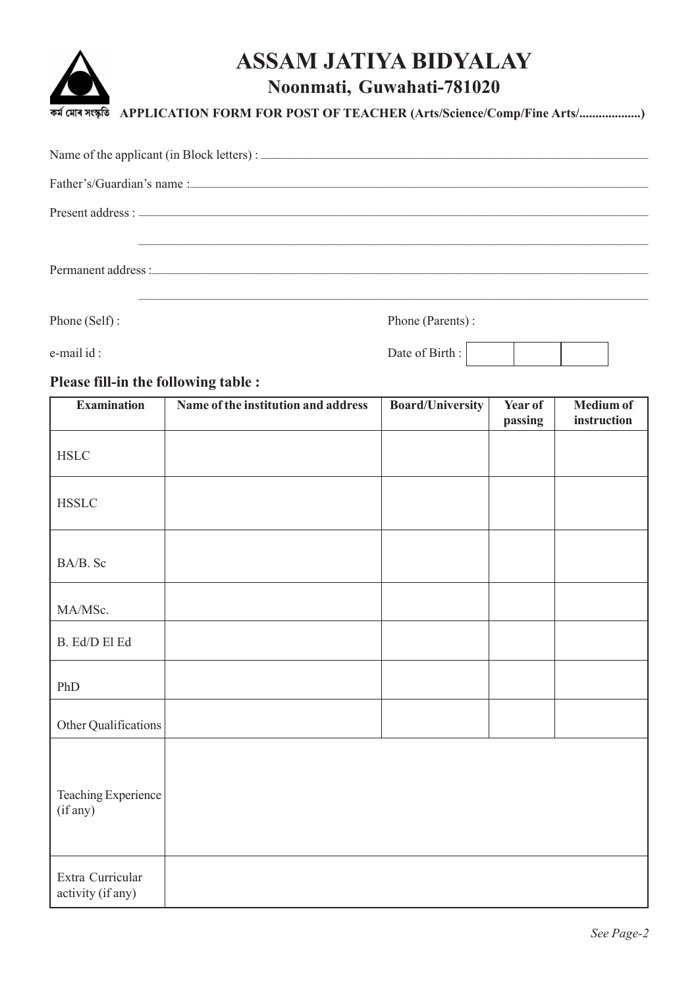# **ASSAM JATIYA BIDYALAY**



## **Noonmati, Guwahati-781020**

**APPLICATION FORM FOR POST OF TEACHER (Arts/Science/Comp/Fine Arts/...................)**

Phone (Self) : Phone (Parents) :

e-mail id : Date of Birth :

## **Please fill-in the following table :**

| <b>Examination</b>                    | Name of the institution and address | <b>Board/University</b> | Year of<br>passing | Medium of<br>instruction |
|---------------------------------------|-------------------------------------|-------------------------|--------------------|--------------------------|
| <b>HSLC</b>                           |                                     |                         |                    |                          |
| $\operatorname{HSSLC}$                |                                     |                         |                    |                          |
| BA/B. Sc                              |                                     |                         |                    |                          |
| MA/MSc.                               |                                     |                         |                    |                          |
| B. Ed/D El Ed                         |                                     |                         |                    |                          |
| PhD                                   |                                     |                         |                    |                          |
| Other Qualifications                  |                                     |                         |                    |                          |
| Teaching Experience<br>(if any)       |                                     |                         |                    |                          |
| Extra Curricular<br>activity (if any) |                                     |                         |                    |                          |